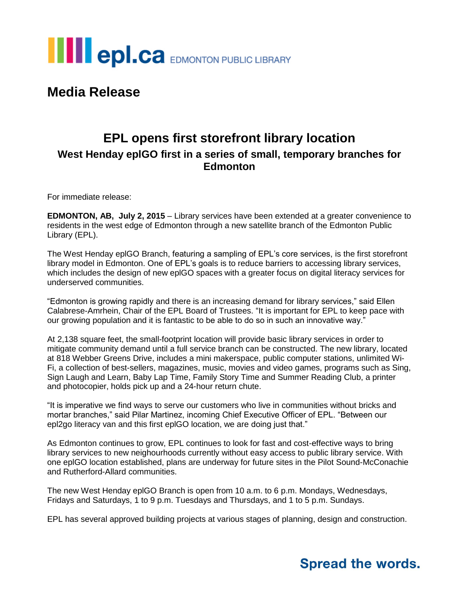

## **Media Release**

### **EPL opens first storefront library location West Henday eplGO first in a series of small, temporary branches for Edmonton**

For immediate release:

**EDMONTON, AB, July 2, 2015** – Library services have been extended at a greater convenience to residents in the west edge of Edmonton through a new satellite branch of the Edmonton Public Library (EPL).

The West Henday eplGO Branch, featuring a sampling of EPL's core services, is the first storefront library model in Edmonton. One of EPL's goals is to reduce barriers to accessing library services, which includes the design of new eplGO spaces with a greater focus on digital literacy services for underserved communities.

"Edmonton is growing rapidly and there is an increasing demand for library services," said Ellen Calabrese-Amrhein, Chair of the EPL Board of Trustees. "It is important for EPL to keep pace with our growing population and it is fantastic to be able to do so in such an innovative way."

At 2,138 square feet, the small-footprint location will provide basic library services in order to mitigate community demand until a full service branch can be constructed. The new library, located at 818 Webber Greens Drive, includes a mini makerspace, public computer stations, unlimited Wi-Fi, a collection of best-sellers, magazines, music, movies and video games, programs such as Sing, Sign Laugh and Learn, Baby Lap Time, Family Story Time and Summer Reading Club, a printer and photocopier, holds pick up and a 24-hour return chute.

"It is imperative we find ways to serve our customers who live in communities without bricks and mortar branches," said Pilar Martinez, incoming Chief Executive Officer of EPL. "Between our epl2go literacy van and this first eplGO location, we are doing just that."

As Edmonton continues to grow, EPL continues to look for fast and cost-effective ways to bring library services to new neighourhoods currently without easy access to public library service. With one eplGO location established, plans are underway for future sites in the Pilot Sound-McConachie and Rutherford-Allard communities.

The new West Henday eplGO Branch is open from 10 a.m. to 6 p.m. Mondays, Wednesdays, Fridays and Saturdays, 1 to 9 p.m. Tuesdays and Thursdays, and 1 to 5 p.m. Sundays.

EPL has several approved building projects at various stages of planning, design and construction.

# **Spread the words.**